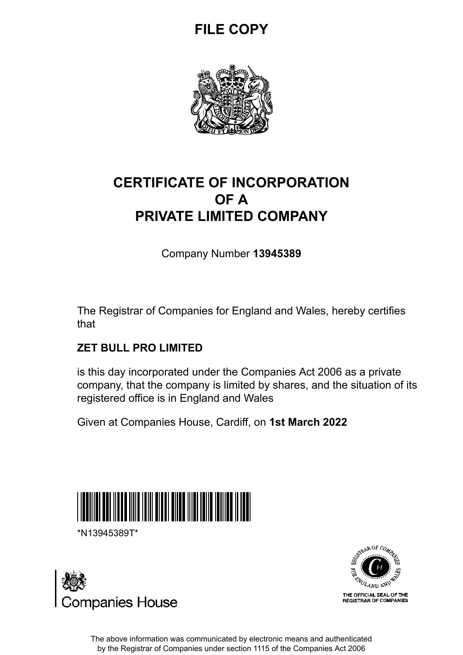## **FILE COPY**



## **CERTIFICATE OF INCORPORATION OF A PRIVATE LIMITED COMPANY**

Company Number **13945389**

The Registrar of Companies for England and Wales, hereby certifies that

### **ZET BULL PRO LIMITED**

is this day incorporated under the Companies Act 2006 as a private company, that the company is limited by shares, and the situation of its registered office is in England and Wales

Given at Companies House, Cardiff, on **1st March 2022**



\*N13945389T\*





The above information was communicated by electronic means and authenticated by the Registrar of Companies under section 1115 of the Companies Act 2006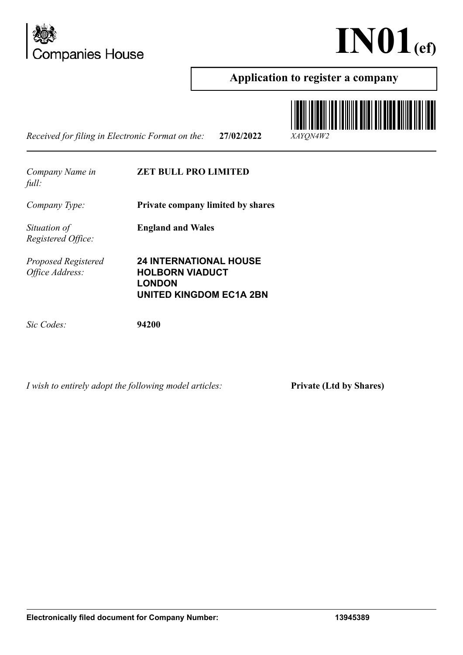



### **Application to register a company**

*Received for filing in Electronic Format on the:* **27/02/2022** *XAYQN4W2*



#### **ZET BULL PRO LIMITED**

**England and Wales**

*Company Type:* **Private company limited by shares**

*Situation of Registered Office:*

*Proposed Registered Office Address:*

**24 INTERNATIONAL HOUSE HOLBORN VIADUCT LONDON UNITED KINGDOM EC1A 2BN**

*Sic Codes:* **94200**

*I wish to entirely adopt the following model articles:* **Private (Ltd by Shares)**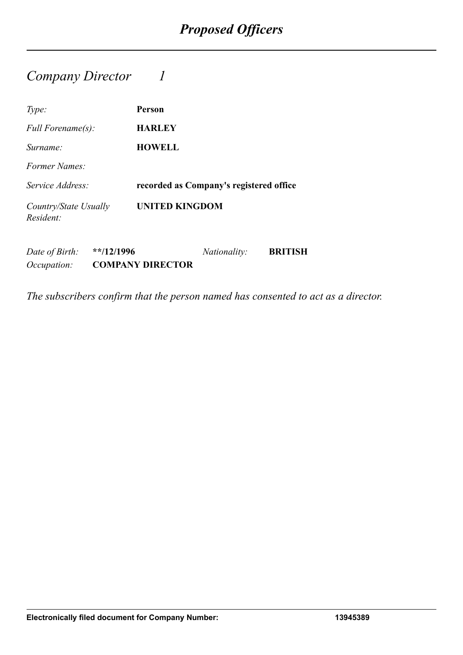### *Company Director 1*

*Occupation:* **COMPANY DIRECTOR**

| Type:                                       | Person                                  |
|---------------------------------------------|-----------------------------------------|
| <i>Full Forename(s):</i>                    | <b>HARLEY</b>                           |
| Surname:                                    | <b>HOWELL</b>                           |
| Former Names:                               |                                         |
| Service Address:                            | recorded as Company's registered office |
| Country/State Usually<br>Resident:          | <b>UNITED KINGDOM</b>                   |
| Date of Birth:<br>$*$ <sup>*</sup> /12/1996 | <i>Nationality:</i><br><b>BRITISH</b>   |

*The subscribers confirm that the person named has consented to act as a director.*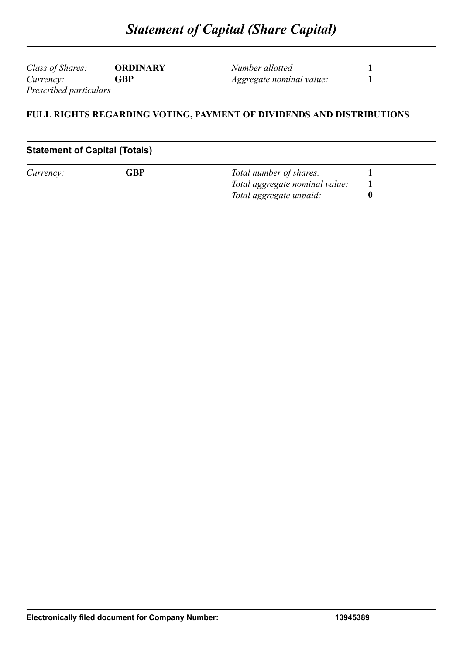*Class of Shares:* **ORDINARY** *Currency:* **GBP** *Prescribed particulars*

*Number allotted* **1** *Aggregate nominal value:* **1**

#### **FULL RIGHTS REGARDING VOTING, PAYMENT OF DIVIDENDS AND DISTRIBUTIONS**

#### **Statement of Capital (Totals)**

| Currency: | ${\mathsf G} {\mathsf B} {\mathsf P}$ | Total number of shares:        |  |
|-----------|---------------------------------------|--------------------------------|--|
|           |                                       | Total aggregate nominal value: |  |
|           |                                       | Total aggregate unpaid:        |  |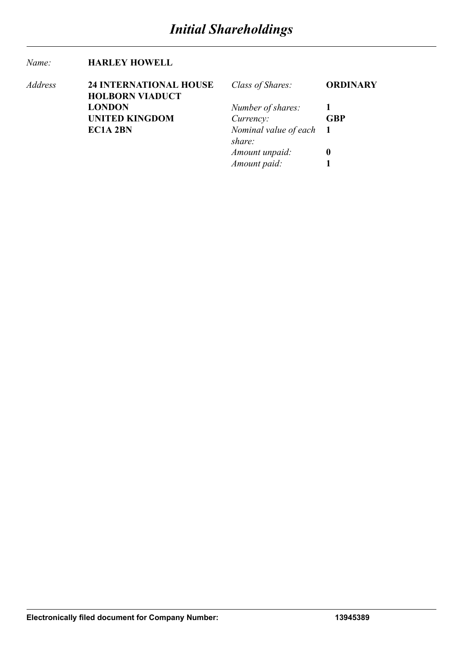#### *Name:* **HARLEY HOWELL**

| Address | <b>24 INTERNATIONAL HOUSE</b> | Class of Shares:        | <b>ORDINARY</b> |
|---------|-------------------------------|-------------------------|-----------------|
|         | <b>HOLBORN VIADUCT</b>        |                         |                 |
|         | <b>LONDON</b>                 | Number of shares:       |                 |
|         | <b>UNITED KINGDOM</b>         | Currency:               | <b>GBP</b>      |
|         | <b>EC1A 2BN</b>               | Nominal value of each 1 |                 |
|         |                               | share:                  |                 |
|         |                               | Amount unpaid:          | 0               |
|         |                               | Amount paid:            |                 |
|         |                               |                         |                 |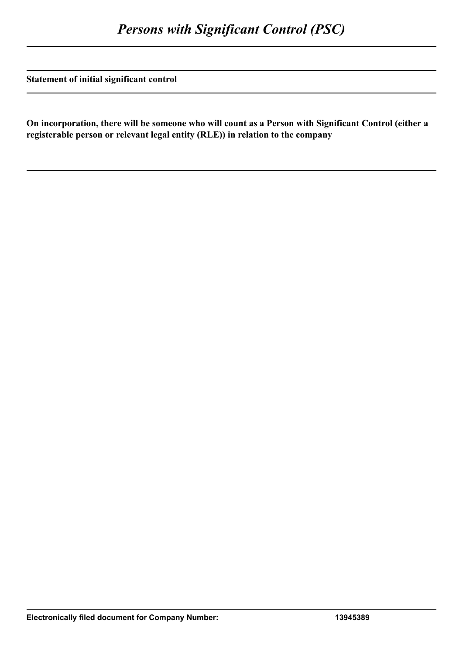**Statement of initial significant control**

**On incorporation, there will be someone who will count as a Person with Significant Control (either a registerable person or relevant legal entity (RLE)) in relation to the company**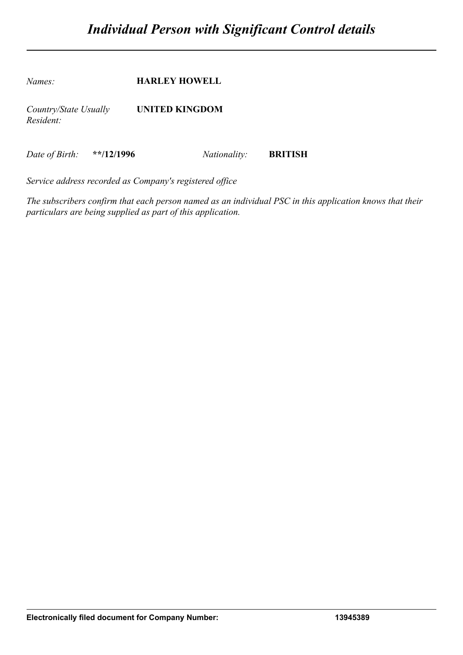*Names:* **HARLEY HOWELL** *Country/State Usually Resident:* **UNITED KINGDOM**

*Date of Birth:* **\*\*/12/1996** *Nationality:* **BRITISH**

*Service address recorded as Company's registered office*

*The subscribers confirm that each person named as an individual PSC in this application knows that their particulars are being supplied as part of this application.*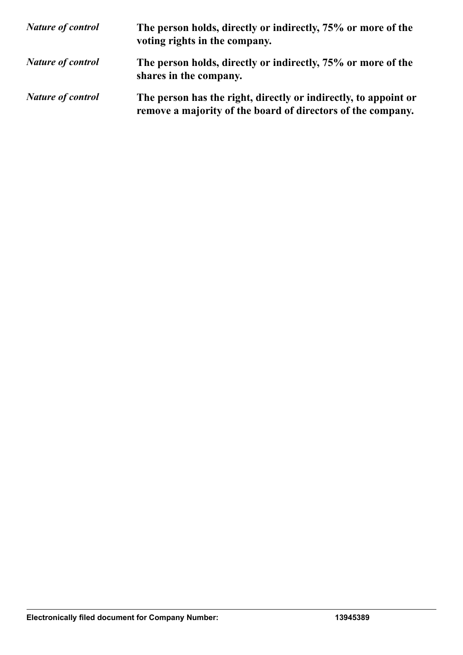| <b>Nature of control</b> | The person holds, directly or indirectly, 75% or more of the<br>voting rights in the company.                                  |
|--------------------------|--------------------------------------------------------------------------------------------------------------------------------|
| <b>Nature of control</b> | The person holds, directly or indirectly, 75% or more of the<br>shares in the company.                                         |
| <b>Nature of control</b> | The person has the right, directly or indirectly, to appoint or<br>remove a majority of the board of directors of the company. |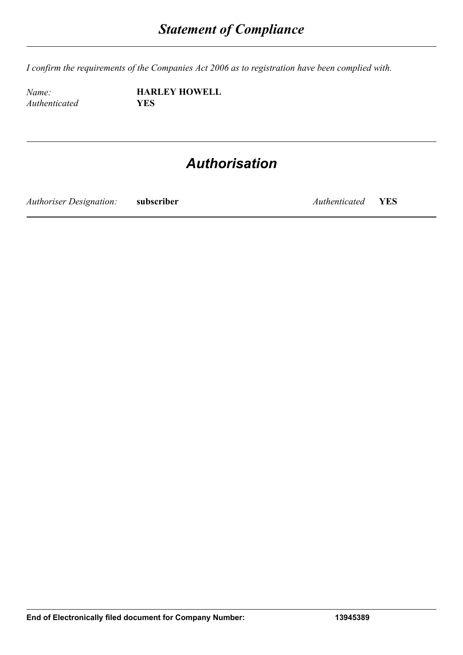*I confirm the requirements of the Companies Act 2006 as to registration have been complied with.*

*Authenticated* **YES**

*Name:* **HARLEY HOWELL**

## *Authorisation*

*Authoriser Designation:* **subscriber** *Authenticated* **YES**